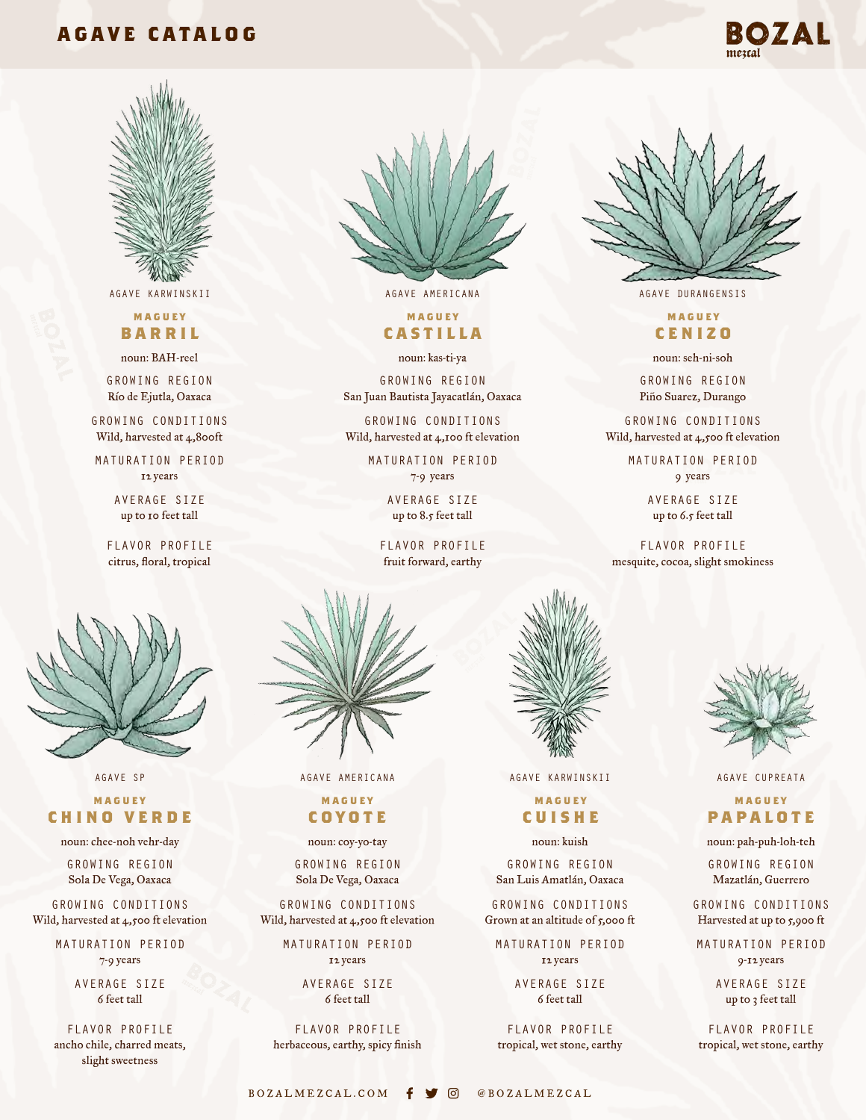# **AGAVE CATALOG**





## **maguey barril**

noun: BAH-reel

GROWING REGION Río de Ejutla, Oaxaca

GROWING CONDITIONS Wild, harvested at 4,800ft

MATURATION PERIOD 12 years

> AVERAGE SIZE up to 10 feet tall

FLAVOR PROFILE citrus, floral, tropical



# **maguey castilla**

noun: kas-ti-ya

GROWING REGION San Juan Bautista Jayacatlán, Oaxaca

GROWING CONDITIONS Wild, harvested at 4,100 ft elevation

> MATURATION PERIOD 7-9 years

AVERAGE SIZE

up to 8.5 feet tall

FLAVOR PROFILE fruit forward, earthy



AGAVE AMERICANA AGAVE KARWINSKII AGAVE CUPREATA

## **maguey coyote**

noun: coy-yo-tay

GROWING REGION Sola De Vega, Oaxaca

GROWING CONDITIONS Wild, harvested at 4,500 ft elevation

> MATURATION PERIOD 12 years

> > AVERAGE SIZE 6 feet tall

FLAVOR PROFILE herbaceous, earthy, spicy finish



## **maguey cuishe**

noun: kuish

GROWING REGION San Luis Amatlán, Oaxaca

GROWING CONDITIONS Grown at an altitude of 5,000 ft

MATURATION PERIOD 12 years

> AVERAGE SIZE 6 feet tall

FLAVOR PROFILE tropical, wet stone, earthy



AGAVE KARWINSKII AGAVE AMERICANA AGAVE DURANGENSIS

# **maguey cenizo**

noun: seh-ni-soh

GROWING REGION Piño Suarez, Durango

GROWING CONDITIONS Wild, harvested at 4,500 ft elevation

> MATURATION PERIOD 9 years

> > AVERAGE SIZE up to 6.5 feet tall

FLAVOR PROFILE mesquite, cocoa, slight smokiness



# **maguey papalote**

noun: pah-puh-loh-teh

GROWING REGION Mazatlán, Guerrero

GROWING CONDITIONS Harvested at up to 5,900 ft

MATURATION PERIOD 9-12 years

> AVERAGE SIZE up to 3 feet tall

FLAVOR PROFILE tropical, wet stone, earthy

AGAVE SP

## **maguey chino verde**

noun: chee-noh vehr-day

GROWING REGION Sola De Vega, Oaxaca

GROWING CONDITIONS Wild, harvested at 4,500 ft elevation

> MATURATION PERIOD 7-9 years

> > AVERAGE SIZE 6 feet tall

FLAVOR PROFILE ancho chile, charred meats, slight sweetness